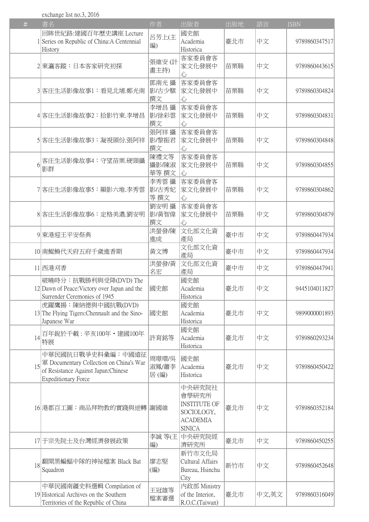exchange list no.3, 2016

| $\#$ | 書名                                                                                                                                | 作者                     | 出版者                                                                                      | 出版地 | 語言    | <b>ISBN</b>   |
|------|-----------------------------------------------------------------------------------------------------------------------------------|------------------------|------------------------------------------------------------------------------------------|-----|-------|---------------|
|      | 回眸世紀路:建國百年歷史講座 Lecture<br>1 Series on Republic of China: A Centennial                                                             | 呂芳上(主<br>編)            | 國史館<br>Academia                                                                          | 臺北市 | 中文    | 9789860347517 |
|      | History                                                                                                                           |                        | Historica                                                                                |     |       |               |
|      | 2 東瀛客蹤:日本客家研究初探                                                                                                                   | 張維安(計<br>畫主持)          | 客家委員會客<br>家文化發展中<br>心                                                                    | 苗栗縣 | 中文    | 9789860443615 |
|      | 3 客庄生活影像故事1:看見北埔.鄭光南                                                                                                              | 鄧南光 攝<br>影古少騏<br>撰文    | 客家委員會客<br>家文化發展中<br>心                                                                    | 苗栗縣 | 中文    | 9789860304824 |
|      | 4 客庄生活影像故事2:拾影竹東.李增昌                                                                                                              | 李增昌 攝<br>影/徐彩雲<br>撰文   | 客家委員會客<br>家文化發展中<br>心                                                                    | 苗栗縣 | 中文    | 9789860304831 |
|      | 5 客庄生活影像故事3:凝視頭份.張阿祥                                                                                                              | 張阿祥 攝<br>影/黎振君<br>撰文   | 客家委員會客<br>家文化發展中<br>心                                                                    | 苗栗縣 | 中文    | 9789860304848 |
| 6    | 客庄生活影像故事4:守望苗栗.硬頸攝<br>影群                                                                                                          | 陳禮文等<br>攝影/陳淑<br>華等 撰文 | 客家委員會客<br>家文化發展中<br>心                                                                    | 苗栗縣 | 中文    | 9789860304855 |
|      | 7 客庄生活影像故事5:顯影六堆.李秀雲                                                                                                              | 李秀雲攝<br>影古秀妃<br>等 撰文   | 客家委員會客<br>家文化發展中<br>心                                                                    | 苗栗縣 | 中文    | 9789860304862 |
|      | 8 客庄生活影像故事6:定格美濃.劉安明                                                                                                              | 劉安明 攝<br>影/黃智偉<br>撰文   | 客家委員會客<br>家文化發展中<br>心                                                                    | 苗栗縣 | 中文    | 9789860304879 |
|      | 9 東港迎王平安祭典                                                                                                                        | 洪螢發/陳<br>進成            | 文化部文化資<br>產局                                                                             | 臺中市 | 中文    | 9789860447934 |
|      | 10 南鯤鯓代天府五府千歲進香期                                                                                                                  | 黃文博                    | 文化部文化資<br>產局                                                                             | 臺中市 | 中文    | 9789860447934 |
|      | 11 西港刈香                                                                                                                           | 洪螢發/黃<br>名宏            | 文化部文化資<br>產局                                                                             | 臺中市 | 中文    | 9789860447941 |
|      | 破曉時分:抗戰勝利與受降(DVD) The<br>12 Dawn of Peace: Victory over Japan and the<br>Surrender Ceremonies of 1945                             | 國史館                    | 國史館<br>Academia<br>Historica                                                             | 臺北市 | 中文    | 9445104011827 |
|      | 虎躍鷹揚:陳納德與中國抗戰(DVD)<br>13 The Flying Tigers: Chennault and the Sino-<br>Japanese War                                               | 國史館                    | 國史館<br>Academia<br>Historica                                                             | 臺北市 | 中文    | 9899000001893 |
| 4    | 百年銳於千載:辛亥100年・建國100年<br>特展                                                                                                        | 許育銘等                   | 國史館<br>Academia<br>Historica                                                             | 臺北市 | 中文    | 9789860293234 |
| 15   | 中華民國抗日戰爭史料彙編:中國遠征<br>軍 Documentary Collection on China's War<br>of Resistance Against Japan:Chinese<br><b>Expeditionary Force</b> | 周璟環/吳<br>淑鳳/蕭李<br>居(編) | 國史館<br>Academia<br>Historica                                                             | 臺北市 | 中文    | 9789860450422 |
|      | 16 港都百工圖:商品拜物教的實踐與逆轉                                                                                                              | 謝國維                    | 中央研究院社<br>會學研究所<br><b>INSTITUTE OF</b><br>SOCIOLOGY,<br><b>ACADEMIA</b><br><b>SINICA</b> | 臺北市 | 中文    | 9789860352184 |
|      | 17 于宗先院士及台灣經濟發展政策                                                                                                                 | 李誠 等(主<br>編)           | 中央研究院經<br>濟研究所                                                                           | 臺北市 | 中文    | 9789860450255 |
| 18   | 翻開黑蝙蝠中隊的神祕檔案 Black Bat<br>Squadron                                                                                                | 廖志堅<br>(編)             | 新竹市文化局<br>Cultural Affairs<br>Bureau, Hsinchu<br>City                                    | 新竹市 | 中文    | 9789860452648 |
|      | 中華民國南疆史料選輯 Compilation of<br>19 Historical Archives on the Southern<br>Territories of the Republic of China                       | 王冠雄等<br>檔案審選           | 内政部 Ministry<br>of the Interior,<br>R.O.C.(Taiwan)                                       | 臺北市 | 中文,英文 | 9789860316049 |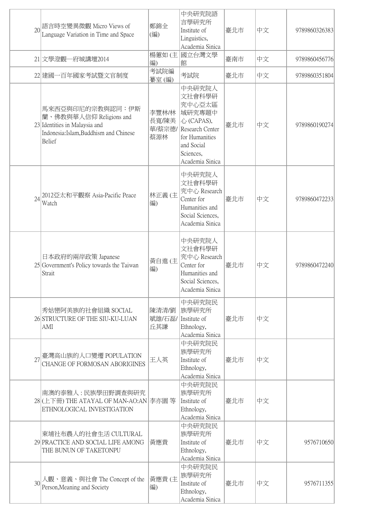|    | 20 語言時空變異微觀 Micro Views of<br>Language Variation in Time and Space                                                               | 鄭錦全<br>(編)                      | 中央研究院語<br>言學研究所<br>Institute of<br>Linguistics,<br>Academia Sinica                                                                     | 臺北市 | 中文 | 9789860326383 |
|----|----------------------------------------------------------------------------------------------------------------------------------|---------------------------------|----------------------------------------------------------------------------------------------------------------------------------------|-----|----|---------------|
|    | 21 文學澄觀—府城講壇2014                                                                                                                 | 編)                              | 楊蕙如(主 國立台灣文學<br>館                                                                                                                      | 臺南市 | 中文 | 9789860456776 |
|    | 22 建國一百年國家考試暨文官制度                                                                                                                | 考試院編<br>纂室(編)                   | 考試院                                                                                                                                    | 臺北市 | 中文 | 9789860351804 |
|    | 馬來西亞與印尼的宗教與認同:伊斯<br>蘭、佛教與華人信仰 Religions and<br>23 Identities in Malaysia and<br>Indonesia: Islam, Buddhism and Chinese<br>Belief | 李豐林/林<br>長寬/陳美<br>華/蔡宗德/<br>蔡源林 | 中央研究院人<br>文社會科學研<br>究中心亞太區<br> 域研究專題中<br>心 (CAPAS),<br>Research Center<br>for Humanities<br>and Social<br>Sciences,<br>Academia Sinica | 臺北市 | 中文 | 9789860190274 |
| 24 | 2012亞太和平觀察 Asia-Pacific Peace<br>Watch                                                                                           | 林正義(主<br>編)                     | 中央研究院人<br>文社會科學研<br>究中心 Research<br>Center for<br>Humanities and<br>Social Sciences,<br>Academia Sinica                                | 臺北市 | 中文 | 9789860472233 |
|    | 日本政府的兩岸政策 Japanese<br>25 Government's Policy towards the Taiwan<br>Strait                                                        | 黃自進(主<br>編)                     | 中央研究院人<br>文社會科學研<br>究中心 Research<br>Center for<br>Humanities and<br>Social Sciences,<br>Academia Sinica                                | 臺北市 | 中文 | 9789860472240 |
|    | 秀姑巒阿美族的社會組織 SOCIAL<br>26 STRUCTURE OF THE SIU-KU-LUAN<br>AMI                                                                     | 陳清清/劉<br>斌雄/石磊/<br>丘其謙          | 中央研究院民<br>族學研究所<br>Institute of<br>Ethnology,<br>Academia Sinica                                                                       | 臺北市 | 中文 |               |
| 27 | 臺灣高山族的人口變遷 POPULATION<br>CHANGE OF FORMOSAN ABORIGINES                                                                           | 王人英                             | 中央研究院民<br>族學研究所<br>Institute of<br>Ethnology,<br>Academia Sinica                                                                       | 臺北市 | 中文 |               |
|    | 南澳的泰雅人:民族學田野調查與研究<br>28 (上下冊) THE ATAYAL OF MAN-AO:AN 李亦園 等<br>ETHNOLOGICAL INVESTIGATION                                        |                                 | 中央研究院民<br>族學研究所<br>Institute of<br>Ethnology,<br>Academia Sinica                                                                       | 臺北市 | 中文 |               |
|    | 東埔社布農人的社會生活 CULTURAL<br>29 PRACTICE AND SOCIAL LIFE AMONG<br>THE BUNUN OF TAKETONPU                                              | 黃應貴                             | 中央研究院民<br>族學研究所<br>Institute of<br>Ethnology,<br>Academia Sinica                                                                       | 臺北市 | 中文 | 9576710650    |
|    | 人觀、意義、與社會 The Concept of the<br>Person, Meaning and Society                                                                      | 黃應貴(主<br>編)                     | 中央研究院民<br>族學研究所<br>Institute of<br>Ethnology,<br>Academia Sinica                                                                       | 臺北市 | 中文 | 9576711355    |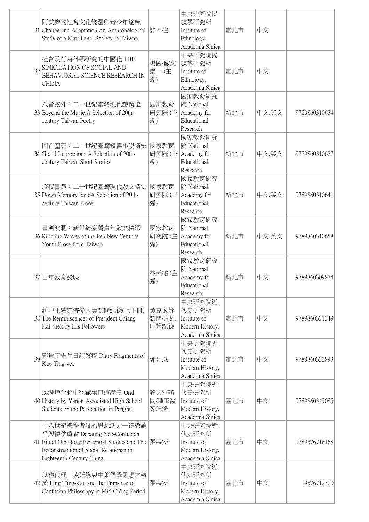|    | 阿美族的社會文化變遷與青少年適應<br>31 Change and Adaptation:An Anthropological 許木柱<br>Study of a Matrilineal Society in Taiwan                                                                 |                       | 中央研究院民<br>族學研究所<br>Institute of<br>Ethnology,<br>Academia Sinica       | 臺北市 | 中文    |               |
|----|---------------------------------------------------------------------------------------------------------------------------------------------------------------------------------|-----------------------|------------------------------------------------------------------------|-----|-------|---------------|
| 32 | 社會及行為科學研究的中國化 THE<br>SINICIZATION OF SOCIAL AND<br>BEHAVIORAL SCIENCE RESEARCH IN<br><b>CHINA</b>                                                                               | 楊國樞/文<br>崇一(主<br>編)   | 中央研究院民<br>族學研究所<br>Institute of<br>Ethnology,<br>Academia Sinica       | 臺北市 | 中文    |               |
|    | 八音弦外:二十世紀臺灣現代詩精選<br>33 Beyond the Music: A Selection of 20th-<br>century Taiwan Poetry                                                                                          | 國家教育<br>編)            | 國家教育研究<br>院 National<br>研究院 (主 Academy for<br>Educational<br>Research  | 新北市 | 中文,英文 | 9789860310634 |
|    | 回首塵寰:二十世紀臺灣短篇小說精選 國家教育<br>34 Grand Impressions: A Selection of 20th-<br>century Taiwan Short Stories                                                                            | 編)                    | 國家教育研究<br>院 National<br>研究院 (主 Academy for<br>Educational<br>Research  | 新北市 | 中文,英文 | 9789860310627 |
|    | 旅夜書懷:二十世紀臺灣現代散文精選 國家教育<br>35 Down Memory lane: A Selection of 20th-<br>century Taiwan Prose                                                                                     | 編)                    | 國家教育研究<br>院 National<br>研究院 (主 Academy for<br>Educational<br>Research  | 新北市 | 中文,英文 | 9789860310641 |
|    | 書劍波瀾:新世紀臺灣青年散文精選<br>36 Rippling Waves of the Pen: New Century<br>Youth Prose from Taiwan                                                                                        | 國家教育<br>編)            | 國家教育研究<br>院 National<br>研究院 (主 Academy for<br>Educational<br>Research  | 新北市 | 中文,英文 | 9789860310658 |
|    | 37百年教育發展                                                                                                                                                                        | 林天祐(主<br>編)           | 國家教育研究<br>院 National<br>Academy for<br>Educational<br>Research         | 新北市 | 中文    | 9789860309874 |
|    | 蔣中正總統侍從人員訪問紀錄(上下冊)<br>38 The Reminiscences of President Chiang<br>Kai-shek by His Followers                                                                                     | 黃克武等<br>訪問/周維<br>朋等記錄 | 中央研究院近<br>代史研究所<br>Institute of<br>Modern History,<br>Academia Sinica  | 臺北市 | 中文    | 9789860331349 |
|    | 39 郭量宇先生日記殘稿 Diary Fragments of<br>Kuo Ting-yee                                                                                                                                 | 郭廷以                   | 中央研究院近<br>代史研究所<br>Institute of<br>Modern History,<br>Academia Sinica  | 臺北市 | 中文    | 9789860333893 |
|    | 澎湖煙台聯中冤獄案口述歷史 Oral<br>40 History by Yantai Associated High School<br>Students on the Persecution in Penghu                                                                      | 許文堂訪<br>問/鍾玉霞<br>等記錄  | 中央研究院近<br> 代史研究所<br>Institute of<br>Modern History,<br>Academia Sinica | 臺北市 | 中文    | 9789860349085 |
|    | 十八世紀禮學考證的思想活力—禮教論<br>爭與禮秩重省 Debating Neo-Confucian<br>41 Ritual Othodoxy: Evidential Studies and The  張壽安<br>Reconstruction of Social Relationsn in<br>Eighteenth-Century China |                       | 中央研究院近<br>代史研究所<br>Institute of<br>Modern History,<br>Academia Sinica  | 臺北市 | 中文    | 9789576718168 |
|    | 以禮代理—凌廷堪與中葉儒學思想之轉<br>42 變 Ling T'ing-k'an and the Transtion of<br>Confucian Philosohpy in Mid-Ch'ing Period                                                                     | 張壽安                   | 中央研究院近<br>代史研究所<br>Institute of<br>Modern History,<br>Academia Sinica  | 臺北市 | 中文    | 9576712300    |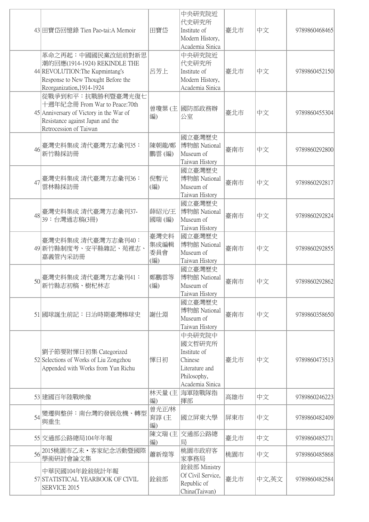|    | 43 田寶岱回憶錄 Tien Pao-tai:A Memoir                                                                                                                             | 田寶岱                        | 中央研究院近<br>代史研究所<br>Institute of<br>Modern History,<br>Academia Sinica                           | 臺北市 | 中文    | 9789860468465 |
|----|-------------------------------------------------------------------------------------------------------------------------------------------------------------|----------------------------|-------------------------------------------------------------------------------------------------|-----|-------|---------------|
|    | 革命之再起:中國國民黨改組前對新思<br>潮的回應(1914-1924) REKINDLE THE<br>44 REVOLUTION: The Kupmintang's<br>Response to New Thought Before the<br>Reorganization, 1914-1924     | 呂芳上                        | 中央研究院近<br>代史研究所<br>Institute of<br>Modern History,<br>Academia Sinica                           | 臺北市 | 中文    | 9789860452150 |
|    | 從戰爭到和平:抗戰勝利暨臺灣光復七<br>十週年紀念冊 From War to Peace:70th<br>45 Anniversary of Victory in the War of<br>Resistance against Japan and the<br>Retrocession of Taiwan | 曾瓊葉(主<br>編)                | 國防部政務辦<br>公室                                                                                    | 臺北市 | 中文    | 9789860455304 |
| 46 | 臺灣史料集成 清代臺灣方志彙刊35:<br>新竹縣採訪冊                                                                                                                                | 陳朝龍/鄭<br>鵬雲(編)             | 國立臺灣歷史<br>博物館 National<br>Museum of<br>Taiwan History                                           | 臺南市 | 中文    | 9789860292800 |
| 47 | 臺灣史料集成 清代臺灣方志彙刊36:<br>雲林縣採訪冊                                                                                                                                | 倪暫元<br>(編)                 | 國立臺灣歷史<br>博物館 National<br>Museum of<br>Taiwan History                                           | 臺南市 | 中文    | 9789860292817 |
| 48 | 臺灣史料集成 清代臺灣方志彙刊37-<br>39:台灣通志稿(3冊)                                                                                                                          | 薛紹元/王<br>國瑞(編)             | 國立臺灣歷史<br>博物館 National<br>Museum of<br>Taiwan History                                           | 臺南市 | 中文    | 9789860292824 |
|    | 臺灣史料集成 清代臺灣方志彙刊40:<br>49 新竹縣制度考、安平縣雜記、苑裡志、<br>嘉義管内采訪冊                                                                                                       | 臺灣史料<br>集成編輯<br>委員會<br>(編) | 國立臺灣歷史<br>博物館 National<br>Museum of<br>Taiwan History                                           | 臺南市 | 中文    | 9789860292855 |
|    | 臺灣史料集成 清代臺灣方志彙刊41:<br>新竹縣志初稿、樹杞林志                                                                                                                           | 鄭鵬雲等<br>(編)                | 國立臺灣歷史<br>博物館 National<br>Museum of<br>Taiwan History                                           | 臺南市 | 中文    | 9789860292862 |
|    | 51 國球誕生前記:日治時期臺灣棒球史                                                                                                                                         | 謝仕淵                        | 國立臺灣歷史<br>博物館 National<br>Museum of<br>Taiwan History                                           | 臺南市 | 中文    | 9789860358650 |
|    | 劉子節要附惲日初集 Categorized<br>52 Selections of Works of Liu Zongzhou<br>Appended with Works from Yun Richu                                                       | 惲日初                        | 中央研究院中<br>國文哲研究所<br>Institute of<br>Chinese<br>Literature and<br>Philosophy,<br>Academia Sinica | 臺北市 | 中文    | 9789860473513 |
|    | 53 建國百年陸戰映像                                                                                                                                                 | 林天量(主<br>編)                | 海軍陸戰隊指<br>揮部                                                                                    | 高雄市 | 中文    | 9789860246223 |
| 54 | 變遷與整併:南台灣的發展危機、轉型<br>與重生                                                                                                                                    | 曾光正/林<br>育諄(主<br>編)        | 國立屏東大學                                                                                          | 屏東市 | 中文    | 9789860482409 |
|    | 55 交通部公路總局104年年報                                                                                                                                            | 陳文瑞(主<br>編)                | 交通部公路總<br>局                                                                                     | 臺北市 | 中文    | 9789860485271 |
| 56 | 2015桃園市乙未・客家紀念活動暨國際<br>學術研討會論文集                                                                                                                             | 蕭新煌等                       | 桃園市政府客<br>家事務局                                                                                  | 桃園市 | 中文    | 9789860485868 |
|    | 中華民國104年銓敍統計年報<br>57 STATISTICAL YEARBOOK OF CIVIL<br>SERVICE 2015                                                                                          | 銓敍部                        | 銓敍部 Ministry<br>Of Civil Service,<br>Republic of<br>China(Taiwan)                               | 臺北市 | 中文,英文 | 9789860482584 |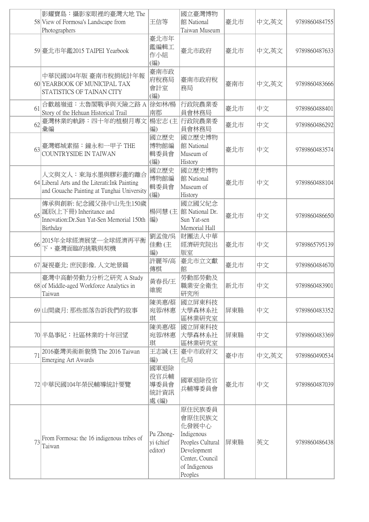|    | 影耀寶島:攝影家眼裡的臺灣大地 The<br>58 View of Formosa's Landscape from<br>Photographers                                            | 王信等                                  | 國立臺灣博物<br>館 National<br>Taiwan Museum                                                                                     | 臺北市 | 中文,英文 | 9789860484755 |
|----|------------------------------------------------------------------------------------------------------------------------|--------------------------------------|---------------------------------------------------------------------------------------------------------------------------|-----|-------|---------------|
|    | 59 臺北市年鑑2015 TAIPEI Yearbook                                                                                           | 臺北市年<br>鑑編輯工<br>作小組<br>(編)           | 臺北市政府                                                                                                                     | 臺北市 | 中文,英文 | 9789860487633 |
|    | 中華民國104年版 臺南市稅捐統計年報<br>60 YEARBOOK OF MUNICIPAL TAX<br>STATISTICS OF TAINAN CITY                                       | 臺南市政<br>府稅務局<br>會計室<br>(編)           | 臺南市政府稅<br>務局                                                                                                              | 臺南市 | 中文,英文 | 9789860483666 |
| 61 | 合歡越嶺道:太魯閣戰爭與天險之路 A 徐如林/楊<br>Story of the Hehuan Historical Trail                                                       | 南郡                                   | 行政院農業委<br>員會林務局                                                                                                           | 臺北市 | 中文    | 9789860488401 |
| 62 | 臺灣林業的軌跡:四十年的植樹月專文<br>彙編                                                                                                | 楊宏志 (主<br>編)                         | 行政院農業委<br>員會林務局                                                                                                           | 臺北市 | 中文    | 9789860486292 |
|    | 63 臺灣鄉城素描:鐘永和一甲子 THE<br>COUNTRYSIDE IN TAIWAN                                                                          | 國立歷史<br>博物館編<br>輯委員會<br>(編)          | 國立歷史博物<br>館 National<br>Museum of<br>History                                                                              | 臺北市 | 中文    | 9789860483574 |
|    | 人文與文人:東海水墨與膠彩畫的離合<br>64 Liberal Arts and the Literati: Ink Painting<br>and Gouache Painting at Tunghai University      | 國立歷史<br>博物館編<br>輯委員會<br>(編)          | 國立歷史博物<br>館 National<br>Museum of<br>History                                                                              | 臺北市 | 中文    | 9789860488104 |
|    | 傳承與創新:紀念國父孫中山先生150歲<br>65 <sup>新辰(上下冊)</sup> Inheritance and<br>Innovation: Dr. Sun Yat-Sen Memorial 150th<br>Birthday | 楊同慧(主<br> 編)                         | 國立國父紀念<br>館 National Dr.<br>Sun Yat-sen<br>Memorial Hall                                                                  | 臺北市 | 中文    | 9789860486650 |
| 66 | 2015年全球經濟展望—全球經濟再平衡<br> 下,臺灣面臨的挑戰與契機                                                                                   | 劉孟俊/吳<br>佳勳(主<br>編)                  | 財團法人中華<br>經濟研究院出<br>版室                                                                                                    | 臺北市 | 中文    | 9789865795139 |
|    | 67 凝視臺北: 庶民影像. 人文地景篇                                                                                                   | 許麗芩/高<br>傳棋                          | 臺北市立文獻<br>館                                                                                                               | 臺北市 | 中文    | 9789860484670 |
|    | 臺灣中高齡勞動力分析之研究 A Study<br>68 of Middle-aged Workforce Analytics in<br>Taiwan                                            | 黃春長/王<br>維旎                          | 勞動部勞動及<br>職業安全衛生<br>研究所                                                                                                   | 新北市 | 中文    | 9789860483901 |
|    | 69 山間歲月: 那些部落告訴我們的故事                                                                                                   | 陳美惠/蔡<br>宛蓉/林惠<br>琪                  | 國立屏東科技<br>大學森林系社<br>區林業研究室                                                                                                | 屏東縣 | 中文    | 9789860483352 |
|    | 70 半島事紀:社區林業的十年回望                                                                                                      | 陳美惠/蔡<br>宛蓉/林惠<br>琪                  | 國立屏東科技<br>大學森林系社<br>區林業研究室                                                                                                | 屏東縣 | 中文    | 9789860483369 |
| 71 | 2016臺灣美術新貌獎 The 2016 Taiwan<br>Emerging Art Awards                                                                     | 王志誠(主)<br>編)                         | 臺中市政府文<br>化局                                                                                                              | 臺中市 | 中文,英文 | 9789860490534 |
|    | 72 中華民國104年榮民輔導統計要覽                                                                                                    | 國軍退除<br>役官兵輔<br>導委員會<br>統計資訊<br>處(編) | 國軍退除役官<br>兵輔導委員會                                                                                                          | 臺北市 | 中文    | 9789860487039 |
| 73 | From Formosa: the 16 indigenous tribes of<br>Taiwan                                                                    | Pu Zhong-<br>yi (chief<br>editor)    | 原住民族委員<br>會原住民族文<br>化發展中心<br>Indigenous<br>Peoples Cultural<br>Development<br>Center, Council<br>of Indigenous<br>Peoples | 屏東縣 | 英文    | 9789860486438 |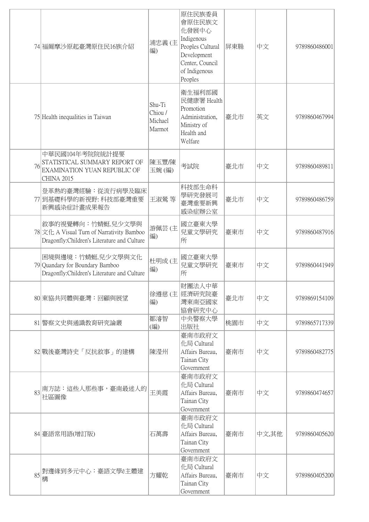|    | 74 福爾摩沙原起臺灣原住民16族介紹                                                                                             | 浦忠義(主<br>編)                            | 原住民族委員<br>會原住民族文<br>化發展中心<br>Indigenous<br>Peoples Cultural<br>Development<br>Center, Council<br>of Indigenous<br>Peoples | 屏東縣 | 中文    | 9789860486001 |
|----|-----------------------------------------------------------------------------------------------------------------|----------------------------------------|---------------------------------------------------------------------------------------------------------------------------|-----|-------|---------------|
|    | 75 Health inequalities in Taiwan                                                                                | Shu-Ti<br>Chiou /<br>Michael<br>Marmot | 衛生福利部國<br>民健康署 Health<br>Promotion<br>Administration,<br>Ministry of<br>Health and<br>Welfare                             | 臺北市 | 英文    | 9789860467994 |
| 76 | 中華民國104年考院院統計提要<br>STATISTICAL SUMMARY REPORT OF<br>EXAMINATION YUAN REPUBLIC OF<br><b>CHINA 2015</b>           | 陳玉豐/陳<br>玉婉(編)                         | 考試院                                                                                                                       | 臺北市 | 中文    | 9789860489811 |
|    | 登革熱的臺灣經驗:從流行病學及臨床<br>77 到基礎科學的新視野:科技部臺灣重要<br>新興感染症計畫成果報告                                                        | 王淑鶯 等                                  | 科技部生命科<br>學研究發展司<br>臺灣重要新興<br>感染症辦公室                                                                                      | 臺北市 | 中文    | 9789860486759 |
|    | 敘事的視覺轉向: 竹蜻蜓.兒少文學與<br>78 文化 A Visual Turn of Narrativity Bamboo<br>Dragonfly: Children's Literature and Culture | 游佩芸(主<br>編)                            | 國立臺東大學<br>兒童文學研究<br>所                                                                                                     | 臺東市 | 中文    | 9789860487916 |
|    | 困境與邊境:竹蜻蜓.兒少文學與文化<br>79 Quandary for Boundary Bamboo<br>Dragonfly: Children's Literature and Culture            | 杜明成(主<br>編)                            | 國立臺東大學<br>兒童文學研究<br>所                                                                                                     | 臺東市 | 中文    | 9789860441949 |
|    | 80 東協共同體與臺灣:回顧與展望                                                                                               | 徐遵慈 (主<br>編)                           | 財團法人中華<br>經濟研究院臺<br>灣東南亞國家<br>協會研究中心                                                                                      | 臺北市 | 中文    | 9789869154109 |
|    | 81 警察文史與通識教育研究論叢                                                                                                | 鄒濬智<br>(編)                             | 中央警察大學<br>出版社                                                                                                             | 桃園市 | 中文    | 9789865717339 |
|    | 82 戰後臺灣詩史「反抗敘事」的建構                                                                                              | 陳瀅州                                    | 臺南市政府文<br>化局 Cultural<br>Affairs Bureau,<br>Tainan City<br>Government                                                     | 臺南市 | 中文    | 9789860482775 |
| 83 | 南方誌:這些人那些事,臺南最迷人的<br>社區圖像                                                                                       | 王美霞                                    | 臺南市政府文<br>化局 Cultural<br>Affairs Bureau,<br>Tainan City<br>Government                                                     | 臺南市 | 中文    | 9789860474657 |
|    | 84 臺語常用語(增訂版)                                                                                                   | 石萬壽                                    | 臺南市政府文<br>化局 Cultural<br>Affairs Bureau,<br>Tainan City<br>Government                                                     | 臺南市 | 中文,其他 | 9789860405620 |
| 85 | 對邊緣到多元中心:臺語文學ê主體建<br>構                                                                                          | 方耀乾                                    | 臺南市政府文<br>化局 Cultural<br>Affairs Bureau,<br>Tainan City<br>Government                                                     | 臺南市 | 中文    | 9789860405200 |